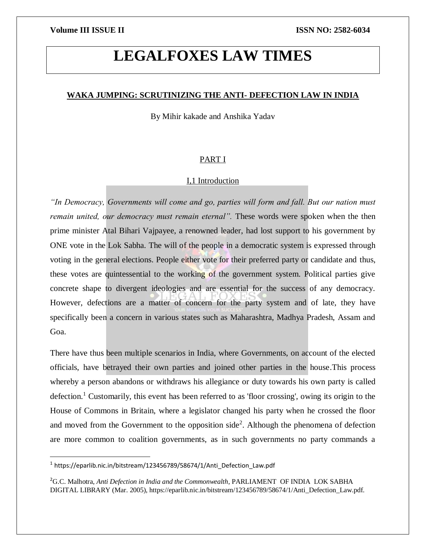# **LEGALFOXES LAW TIMES**

# **WAKA JUMPING: SCRUTINIZING THE ANTI- DEFECTION LAW IN INDIA**

By Mihir kakade and Anshika Yadav

# PART I

# I,1 Introduction

*"In Democracy, Governments will come and go, parties will form and fall. But our nation must remain united, our democracy must remain eternal".* These words were spoken when the then prime minister Atal Bihari Vajpayee, a renowned leader, had lost support to his government by ONE vote in the Lok Sabha. The will of the people in a democratic system is expressed through voting in the general elections. People either vote for their preferred party or candidate and thus, these votes are quintessential to the working of the government system. Political parties give concrete shape to divergent ideologies and are essential for the success of any democracy. However, defections are a matter of concern for the party system and of late, they have specifically been a concern in various states such as Maharashtra, Madhya Pradesh, Assam and Goa.

There have thus been multiple scenarios in India, where Governments, on account of the elected officials, have betrayed their own parties and joined other parties in the house.This process whereby a person abandons or withdraws his allegiance or duty towards his own party is called defection.<sup>1</sup> Customarily, this event has been referred to as 'floor crossing', owing its origin to the House of Commons in Britain, where a legislator changed his party when he crossed the floor and moved from the Government to the opposition side<sup>2</sup>. Although the phenomena of defection are more common to coalition governments, as in such governments no party commands a

<sup>&</sup>lt;sup>1</sup> https://eparlib.nic.in/bitstream/123456789/58674/1/Anti\_Defection\_Law.pdf

<sup>2</sup>G.C. Malhotra, *Anti Defection in India and the Commonwealth*, PARLIAMENT OF INDIA LOK SABHA DIGITAL LIBRARY (Mar. 2005), https://eparlib.nic.in/bitstream/123456789/58674/1/Anti\_Defection\_Law.pdf.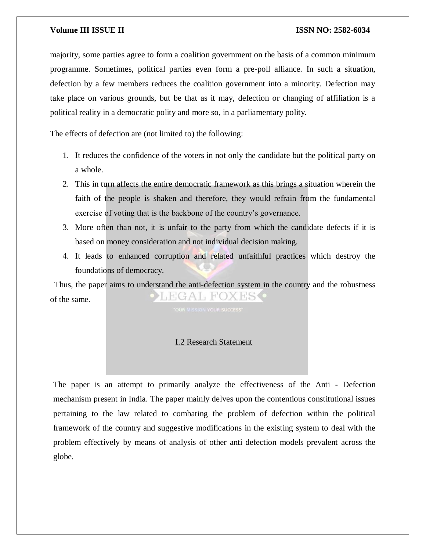majority, some parties agree to form a coalition government on the basis of a common minimum programme. Sometimes, political parties even form a pre-poll alliance. In such a situation, defection by a few members reduces the coalition government into a minority. Defection may take place on various grounds, but be that as it may, defection or changing of affiliation is a political reality in a democratic polity and more so, in a parliamentary polity.

The effects of defection are (not limited to) the following:

- 1. It reduces the confidence of the voters in not only the candidate but the political party on a whole.
- 2. This in turn affects the entire democratic framework as this brings a situation wherein the faith of the people is shaken and therefore, they would refrain from the fundamental exercise of voting that is the backbone of the country's governance.
- 3. More often than not, it is unfair to the party from which the candidate defects if it is based on money consideration and not individual decision making.
- 4. It leads to enhanced corruption and related unfaithful practices which destroy the foundations of democracy.

 Thus, the paper aims to understand the anti-defection system in the country and the robustness EGAL FOX of the same.

# I.2 Research Statement

The paper is an attempt to primarily analyze the effectiveness of the Anti - Defection mechanism present in India. The paper mainly delves upon the contentious constitutional issues pertaining to the law related to combating the problem of defection within the political framework of the country and suggestive modifications in the existing system to deal with the problem effectively by means of analysis of other anti defection models prevalent across the globe.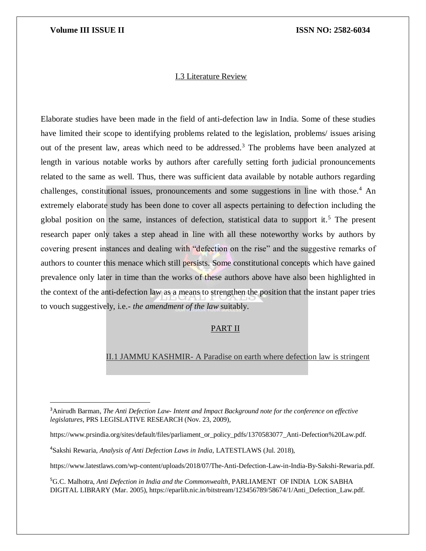$\overline{\phantom{a}}$ 

# I.3 Literature Review

Elaborate studies have been made in the field of anti-defection law in India. Some of these studies have limited their scope to identifying problems related to the legislation, problems/ issues arising out of the present law, areas which need to be addressed.<sup>3</sup> The problems have been analyzed at length in various notable works by authors after carefully setting forth judicial pronouncements related to the same as well. Thus, there was sufficient data available by notable authors regarding challenges, constitutional issues, pronouncements and some suggestions in line with those.<sup>4</sup> An extremely elaborate study has been done to cover all aspects pertaining to defection including the global position on the same, instances of defection, statistical data to support it.<sup>5</sup> The present research paper only takes a step ahead in line with all these noteworthy works by authors by covering present instances and dealing with "defection on the rise" and the suggestive remarks of authors to counter this menace which still persists. Some constitutional concepts which have gained prevalence only later in time than the works of these authors above have also been highlighted in the context of the anti-defection law as a means to strengthen the position that the instant paper tries to vouch suggestively, i.e.- *the amendment of the law* suitably.

# PART II

# II.1 JAMMU KASHMIR- A Paradise on earth where defection law is stringent

https://www.latestlaws.com/wp-content/uploads/2018/07/The-Anti-Defection-Law-in-India-By-Sakshi-Rewaria.pdf.

<sup>3</sup>Anirudh Barman, *The Anti Defection Law- Intent and Impact Background note for the conference on effective legislatures*, PRS LEGISLATIVE RESEARCH (Nov. 23, 2009),

https://www.prsindia.org/sites/default/files/parliament\_or\_policy\_pdfs/1370583077\_Anti-Defection%20Law.pdf.

<sup>4</sup>Sakshi Rewaria, *Analysis of Anti Defection Laws in India*, LATESTLAWS (Jul. 2018),

<sup>5</sup>G.C. Malhotra, *Anti Defection in India and the Commonwealth*, PARLIAMENT OF INDIA LOK SABHA DIGITAL LIBRARY (Mar. 2005), https://eparlib.nic.in/bitstream/123456789/58674/1/Anti\_Defection\_Law.pdf.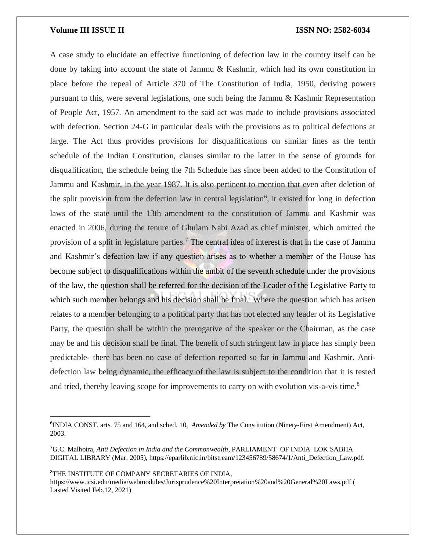A case study to elucidate an effective functioning of defection law in the country itself can be done by taking into account the state of Jammu & Kashmir, which had its own constitution in place before the repeal of Article 370 of The Constitution of India, 1950, deriving powers pursuant to this, were several legislations, one such being the Jammu & Kashmir Representation of People Act, 1957. An amendment to the said act was made to include provisions associated with defection. Section 24-G in particular deals with the provisions as to political defections at large. The Act thus provides provisions for disqualifications on similar lines as the tenth schedule of the Indian Constitution, clauses similar to the latter in the sense of grounds for disqualification, the schedule being the 7th Schedule has since been added to the Constitution of Jammu and Kashmir, in the year 1987. It is also pertinent to mention that even after deletion of the split provision from the defection law in central legislation<sup>6</sup>, it existed for long in defection laws of the state until the 13th amendment to the constitution of Jammu and Kashmir was enacted in 2006, during the tenure of Ghulam Nabi Azad as chief minister, which omitted the provision of a split in legislature parties.<sup>7</sup> The central idea of interest is that in the case of Jammu and Kashmir's defection law if any question arises as to whether a member of the House has become subject to disqualifications within the ambit of the seventh schedule under the provisions of the law, the question shall be referred for the decision of the Leader of the Legislative Party to which such member belongs and his decision shall be final. Where the question which has arisen relates to a member belonging to a political party that has not elected any leader of its Legislative Party, the question shall be within the prerogative of the speaker or the Chairman, as the case may be and his decision shall be final. The benefit of such stringent law in place has simply been predictable- there has been no case of defection reported so far in Jammu and Kashmir. Antidefection law being dynamic, the efficacy of the law is subject to the condition that it is tested and tried, thereby leaving scope for improvements to carry on with evolution vis-a-vis time.<sup>8</sup>

<sup>8</sup>THE INSTITUTE OF COMPANY SECRETARIES OF INDIA,

 $\overline{a}$ 

https://www.icsi.edu/media/webmodules/Jurisprudence%20Interpretation%20and%20General%20Laws.pdf ( Lasted Visited Feb.12, 2021)

<sup>6</sup> INDIA CONST. arts. 75 and 164, and sched. 10, *Amended by* The Constitution (Ninety-First Amendment) Act, 2003.

<sup>7</sup>G.C. Malhotra, *Anti Defection in India and the Commonwealth*, PARLIAMENT OF INDIA LOK SABHA DIGITAL LIBRARY (Mar. 2005), https://eparlib.nic.in/bitstream/123456789/58674/1/Anti\_Defection\_Law.pdf.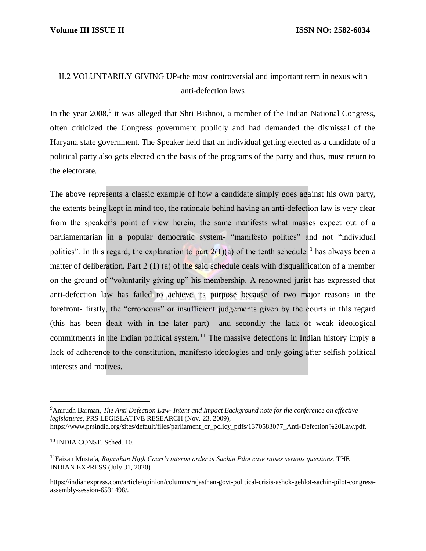# II.2 VOLUNTARILY GIVING UP-the most controversial and important term in nexus with anti-defection laws

In the year 2008,<sup>9</sup> it was alleged that Shri Bishnoi, a member of the Indian National Congress, often criticized the Congress government publicly and had demanded the dismissal of the Haryana state government. The Speaker held that an individual getting elected as a candidate of a political party also gets elected on the basis of the programs of the party and thus, must return to the electorate.

The above represents a classic example of how a candidate simply goes against his own party, the extents being kept in mind too, the rationale behind having an anti-defection law is very clear from the speaker's point of view herein, the same manifests what masses expect out of a parliamentarian in a popular democratic system- "manifesto politics" and not "individual politics". In this regard, the explanation to part  $2(1)(a)$  of the tenth schedule<sup>10</sup> has always been a matter of deliberation. Part 2 (1) (a) of the said schedule deals with disqualification of a member on the ground of "voluntarily giving up" his membership. A renowned jurist has expressed that anti-defection law has failed to achieve its purpose because of two major reasons in the forefront- firstly, the "erroneous" or insufficient judgements given by the courts in this regard (this has been dealt with in the later part) and secondly the lack of weak ideological commitments in the Indian political system.<sup>11</sup> The massive defections in Indian history imply a lack of adherence to the constitution, manifesto ideologies and only going after selfish political interests and motives.

<sup>9</sup>Anirudh Barman, *The Anti Defection Law- Intent and Impact Background note for the conference on effective legislatures*, PRS LEGISLATIVE RESEARCH (Nov. 23, 2009),

https://www.prsindia.org/sites/default/files/parliament\_or\_policy\_pdfs/1370583077\_Anti-Defection%20Law.pdf.

<sup>10</sup> INDIA CONST. Sched. 10.

<sup>11</sup>Faizan Mustafa*, Rajasthan High Court's interim order in Sachin Pilot case raises serious questions,* THE INDIAN EXPRESS (July 31, 2020)

https://indianexpress.com/article/opinion/columns/rajasthan-govt-political-crisis-ashok-gehlot-sachin-pilot-congressassembly-session-6531498/.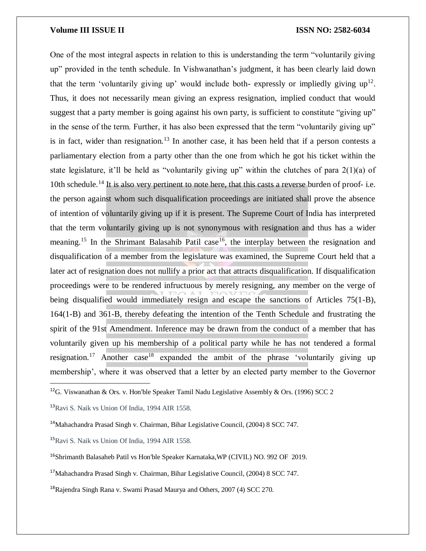One of the most integral aspects in relation to this is understanding the term "voluntarily giving up" provided in the tenth schedule. In Vishwanathan's judgment, it has been clearly laid down that the term 'voluntarily giving up' would include both- expressly or impliedly giving  $up^{12}$ . Thus, it does not necessarily mean giving an express resignation, implied conduct that would suggest that a party member is going against his own party, is sufficient to constitute "giving up" in the sense of the term. Further, it has also been expressed that the term "voluntarily giving up" is in fact, wider than resignation.<sup>13</sup> In another case, it has been held that if a person contests a parliamentary election from a party other than the one from which he got his ticket within the state legislature, it'll be held as "voluntarily giving up" within the clutches of para  $2(1)(a)$  of 10th schedule.<sup>14</sup> It is also very pertinent to note here, that this casts a reverse burden of proof- i.e. the person against whom such disqualification proceedings are initiated shall prove the absence of intention of voluntarily giving up if it is present. The Supreme Court of India has interpreted that the term voluntarily giving up is not synonymous with resignation and thus has a wider meaning.<sup>15</sup> In the Shrimant Balasahib Patil case<sup>16</sup>, the interplay between the resignation and disqualification of a member from the legislature was examined, the Supreme Court held that a later act of resignation does not nullify a prior act that attracts disqualification. If disqualification proceedings were to be rendered infructuous by merely resigning, any member on the verge of being disqualified would immediately resign and escape the sanctions of Articles 75(1-B), 164(1-B) and 361-B, thereby defeating the intention of the Tenth Schedule and frustrating the spirit of the 91st Amendment. Inference may be drawn from the conduct of a member that has voluntarily given up his membership of a political party while he has not tendered a formal resignation.<sup>17</sup> Another case<sup>18</sup> expanded the ambit of the phrase 'voluntarily giving up membership', where it was observed that a letter by an elected party member to the Governor

 $\overline{a}$ 

<sup>18</sup>Rajendra Singh Rana v. Swami Prasad Maurya and Others, 2007 (4) SCC 270.

<sup>&</sup>lt;sup>12</sup>G. Viswanathan & Ors. v. Hon'ble Speaker Tamil Nadu Legislative Assembly & Ors. (1996) SCC 2

<sup>13</sup>Ravi S. Naik vs Union Of India, 1994 AIR 1558.

<sup>14</sup>Mahachandra Prasad Singh v. Chairman, Bihar Legislative Council, (2004) 8 SCC 747.

<sup>15</sup>Ravi S. Naik vs Union Of India, 1994 AIR 1558.

<sup>16</sup>Shrimanth Balasaheb Patil vs Hon'ble Speaker Karnataka,WP (CIVIL) NO. 992 OF 2019.

<sup>17</sup>Mahachandra Prasad Singh v. Chairman, Bihar Legislative Council, (2004) 8 SCC 747.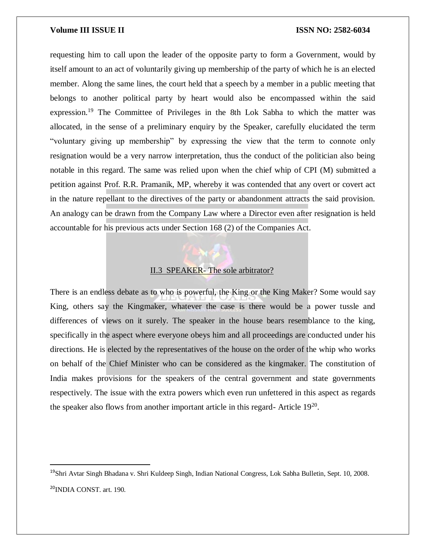$\overline{a}$ 

requesting him to call upon the leader of the opposite party to form a Government, would by itself amount to an act of voluntarily giving up membership of the party of which he is an elected member. Along the same lines, the court held that a speech by a member in a public meeting that belongs to another political party by heart would also be encompassed within the said expression.<sup>19</sup> The Committee of Privileges in the 8th Lok Sabha to which the matter was allocated, in the sense of a preliminary enquiry by the Speaker, carefully elucidated the term "voluntary giving up membership" by expressing the view that the term to connote only resignation would be a very narrow interpretation, thus the conduct of the politician also being notable in this regard. The same was relied upon when the chief whip of CPI (M) submitted a petition against Prof. R.R. Pramanik, MP, whereby it was contended that any overt or covert act in the nature repellant to the directives of the party or abandonment attracts the said provision. An analogy can be drawn from the Company Law where a Director even after resignation is held accountable for his previous acts under Section 168 (2) of the Companies Act.

# II.3 SPEAKER- The sole arbitrator?

There is an endless debate as to who is powerful, the King or the King Maker? Some would say King, others say the Kingmaker, whatever the case is there would be a power tussle and differences of views on it surely. The speaker in the house bears resemblance to the king, specifically in the aspect where everyone obeys him and all proceedings are conducted under his directions. He is elected by the representatives of the house on the order of the whip who works on behalf of the Chief Minister who can be considered as the kingmaker. The constitution of India makes provisions for the speakers of the central government and state governments respectively. The issue with the extra powers which even run unfettered in this aspect as regards the speaker also flows from another important article in this regard- Article 19<sup>20</sup>.

<sup>19</sup>Shri Avtar Singh Bhadana v. Shri Kuldeep Singh, Indian National Congress, Lok Sabha Bulletin, Sept. 10, 2008. <sup>20</sup>INDIA CONST. art. 190.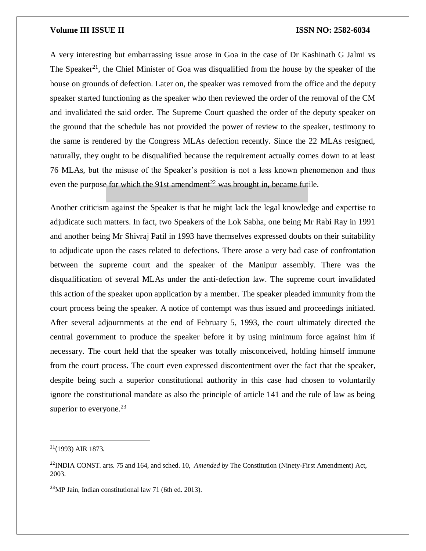A very interesting but embarrassing issue arose in Goa in the case of Dr Kashinath G Jalmi vs The Speaker<sup>21</sup>, the Chief Minister of Goa was disqualified from the house by the speaker of the house on grounds of defection. Later on, the speaker was removed from the office and the deputy speaker started functioning as the speaker who then reviewed the order of the removal of the CM and invalidated the said order. The Supreme Court quashed the order of the deputy speaker on the ground that the schedule has not provided the power of review to the speaker, testimony to the same is rendered by the Congress MLAs defection recently. Since the 22 MLAs resigned, naturally, they ought to be disqualified because the requirement actually comes down to at least 76 MLAs, but the misuse of the Speaker's position is not a less known phenomenon and thus even the purpose for which the 91st amendment<sup>22</sup> was brought in, became futile.

Another criticism against the Speaker is that he might lack the legal knowledge and expertise to adjudicate such matters. In fact, two Speakers of the Lok Sabha, one being Mr Rabi Ray in 1991 and another being Mr Shivraj Patil in 1993 have themselves expressed doubts on their suitability to adjudicate upon the cases related to defections. There arose a very bad case of confrontation between the supreme court and the speaker of the Manipur assembly. There was the disqualification of several MLAs under the anti-defection law. The supreme court invalidated this action of the speaker upon application by a member. The speaker pleaded immunity from the court process being the speaker. A notice of contempt was thus issued and proceedings initiated. After several adjournments at the end of February 5, 1993, the court ultimately directed the central government to produce the speaker before it by using minimum force against him if necessary. The court held that the speaker was totally misconceived, holding himself immune from the court process. The court even expressed discontentment over the fact that the speaker, despite being such a superior constitutional authority in this case had chosen to voluntarily ignore the constitutional mandate as also the principle of article 141 and the rule of law as being superior to everyone. $23$ 

<sup>21</sup>(1993) AIR 1873.

<sup>22</sup>INDIA CONST. arts. 75 and 164, and sched. 10, *Amended by* The Constitution (Ninety-First Amendment) Act, 2003.

<sup>23</sup>MP Jain, Indian constitutional law 71 (6th ed. 2013).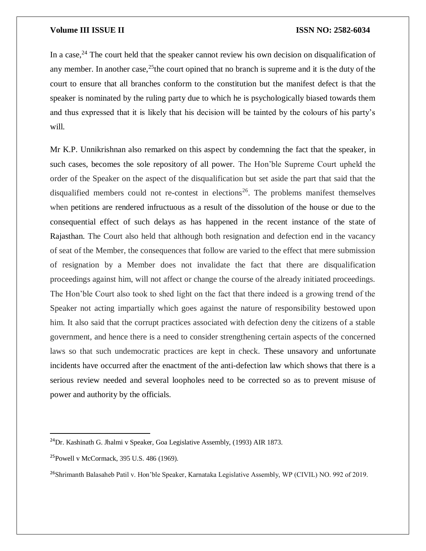In a case,  $^{24}$  The court held that the speaker cannot review his own decision on disqualification of any member. In another case,  $25$  the court opined that no branch is supreme and it is the duty of the court to ensure that all branches conform to the constitution but the manifest defect is that the speaker is nominated by the ruling party due to which he is psychologically biased towards them and thus expressed that it is likely that his decision will be tainted by the colours of his party's will.

Mr K.P. Unnikrishnan also remarked on this aspect by condemning the fact that the speaker, in such cases, becomes the sole repository of all power. The Hon'ble Supreme Court upheld the order of the Speaker on the aspect of the disqualification but set aside the part that said that the disqualified members could not re-contest in elections<sup>26</sup>. The problems manifest themselves when petitions are rendered infructuous as a result of the dissolution of the house or due to the consequential effect of such delays as has happened in the recent instance of the state of Rajasthan. The Court also held that although both resignation and defection end in the vacancy of seat of the Member, the consequences that follow are varied to the effect that mere submission of resignation by a Member does not invalidate the fact that there are disqualification proceedings against him, will not affect or change the course of the already initiated proceedings. The Hon'ble Court also took to shed light on the fact that there indeed is a growing trend of the Speaker not acting impartially which goes against the nature of responsibility bestowed upon him. It also said that the corrupt practices associated with defection deny the citizens of a stable government, and hence there is a need to consider strengthening certain aspects of the concerned laws so that such undemocratic practices are kept in check. These unsavory and unfortunate incidents have occurred after the enactment of the anti-defection law which shows that there is a serious review needed and several loopholes need to be corrected so as to prevent misuse of power and authority by the officials.

 $^{24}$ Dr. Kashinath G. Jhalmi v Speaker, Goa Legislative Assembly, (1993) AIR 1873.

<sup>25</sup>Powell v McCormack, 395 U.S. 486 (1969).

<sup>&</sup>lt;sup>26</sup>Shrimanth Balasaheb Patil v. Hon'ble Speaker, Karnataka Legislative Assembly, WP (CIVIL) NO. 992 of 2019.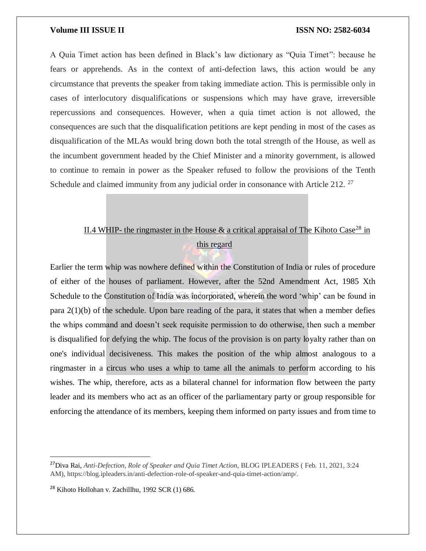A Quia Timet action has been defined in Black's law dictionary as "Quia Timet": because he fears or apprehends. As in the context of anti-defection laws, this action would be any circumstance that prevents the speaker from taking immediate action. This is permissible only in cases of interlocutory disqualifications or suspensions which may have grave, irreversible repercussions and consequences. However, when a quia timet action is not allowed, the consequences are such that the disqualification petitions are kept pending in most of the cases as disqualification of the MLAs would bring down both the total strength of the House, as well as the incumbent government headed by the Chief Minister and a minority government, is allowed to continue to remain in power as the Speaker refused to follow the provisions of the Tenth Schedule and claimed immunity from any judicial order in consonance with Article 212.  $27$ 

# II.4 WHIP- the ringmaster in the House  $\&$  a critical appraisal of The Kihoto Case<sup>28</sup> in this regard

Earlier the term whip was nowhere defined within the Constitution of India or rules of procedure of either of the houses of parliament. However, after the 52nd Amendment Act, 1985 Xth Schedule to the Constitution of India was incorporated, wherein the word 'whip' can be found in para  $2(1)(b)$  of the schedule. Upon bare reading of the para, it states that when a member defies the whips command and doesn't seek requisite permission to do otherwise, then such a member is disqualified for defying the whip. The focus of the provision is on party loyalty rather than on one's individual decisiveness. This makes the position of the whip almost analogous to a ringmaster in a circus who uses a whip to tame all the animals to perform according to his wishes. The whip, therefore, acts as a bilateral channel for information flow between the party leader and its members who act as an officer of the parliamentary party or group responsible for enforcing the attendance of its members, keeping them informed on party issues and from time to

<sup>&</sup>lt;sup>27</sup>Diva Rai, *Anti-Defection, Role of Speaker and Quia Timet Action, BLOG IPLEADERS* (Feb. 11, 2021, 3:24 AM), https://blog.ipleaders.in/anti-defection-role-of-speaker-and-quia-timet-action/amp/.

<sup>28</sup> Kihoto Hollohan v. Zachillhu, 1992 SCR (1) 686.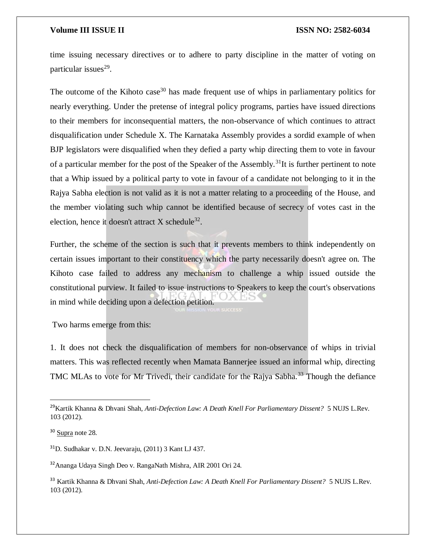time issuing necessary directives or to adhere to party discipline in the matter of voting on particular issues<sup>29</sup>.

The outcome of the Kihoto case<sup>30</sup> has made frequent use of whips in parliamentary politics for nearly everything. Under the pretense of integral policy programs, parties have issued directions to their members for inconsequential matters, the non-observance of which continues to attract disqualification under Schedule X. The Karnataka Assembly provides a sordid example of when BJP legislators were disqualified when they defied a party whip directing them to vote in favour of a particular member for the post of the Speaker of the Assembly.<sup>31</sup>It is further pertinent to note that a Whip issued by a political party to vote in favour of a candidate not belonging to it in the Rajya Sabha election is not valid as it is not a matter relating to a proceeding of the House, and the member violating such whip cannot be identified because of secrecy of votes cast in the election, hence it doesn't attract X schedule<sup>32</sup>.

Further, the scheme of the section is such that it prevents members to think independently on certain issues important to their constituency which the party necessarily doesn't agree on. The Kihoto case failed to address any mechanism to challenge a whip issued outside the constitutional purview. It failed to issue instructions to Speakers to keep the court's observations in mind while deciding upon a defection petition.

Two harms emerge from this:

1. It does not check the disqualification of members for non-observance of whips in trivial matters. This was reflected recently when Mamata Bannerjee issued an informal whip, directing TMC MLAs to vote for Mr Trivedi, their candidate for the Rajya Sabha.<sup>33</sup> Though the defiance

 $\overline{a}$ 

<sup>29</sup>Kartik Khanna & Dhvani Shah, *Anti-Defection Law: A Death Knell For Parliamentary Dissent?* 5 NUJS L.Rev. 103 (2012).

<sup>30</sup> Supra note 28.

<sup>31</sup>D. Sudhakar v. D.N. Jeevaraju, (2011) 3 Kant LJ 437.

<sup>32</sup>Ananga Udaya Singh Deo v. RangaNath Mishra, AIR 2001 Ori 24.

<sup>33</sup> Kartik Khanna & Dhvani Shah, *Anti-Defection Law: A Death Knell For Parliamentary Dissent?* 5 NUJS L.Rev. 103 (2012).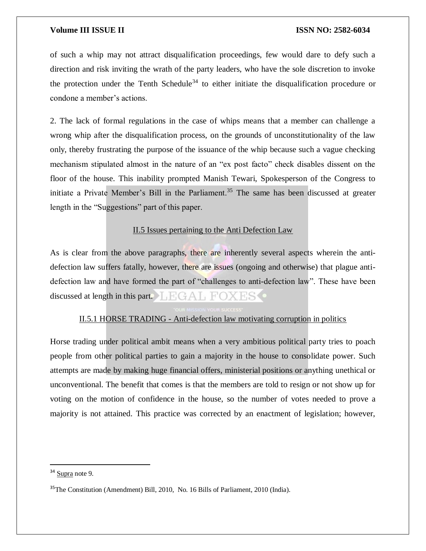of such a whip may not attract disqualification proceedings, few would dare to defy such a direction and risk inviting the wrath of the party leaders, who have the sole discretion to invoke the protection under the Tenth Schedule<sup>34</sup> to either initiate the disqualification procedure or condone a member's actions.

2. The lack of formal regulations in the case of whips means that a member can challenge a wrong whip after the disqualification process, on the grounds of unconstitutionality of the law only, thereby frustrating the purpose of the issuance of the whip because such a vague checking mechanism stipulated almost in the nature of an "ex post facto" check disables dissent on the floor of the house. This inability prompted Manish Tewari, Spokesperson of the Congress to initiate a Private Member's Bill in the Parliament.<sup>35</sup> The same has been discussed at greater length in the "Suggestions" part of this paper.

# II.5 Issues pertaining to the Anti Defection Law

As is clear from the above paragraphs, there are inherently several aspects wherein the antidefection law suffers fatally, however, there are issues (ongoing and otherwise) that plague antidefection law and have formed the part of "challenges to anti-defection law". These have been discussed at length in this part.  $\Box$   $\Box$   $\Box$   $\Box$   $\Box$   $\Box$ 

# II.5.1 HORSE TRADING - Anti-defection law motivating corruption in politics

Horse trading under political ambit means when a very ambitious political party tries to poach people from other political parties to gain a majority in the house to consolidate power. Such attempts are made by making huge financial offers, ministerial positions or anything unethical or unconventional. The benefit that comes is that the members are told to resign or not show up for voting on the motion of confidence in the house, so the number of votes needed to prove a majority is not attained. This practice was corrected by an enactment of legislation; however,

 $\overline{a}$ 

<sup>&</sup>lt;sup>34</sup> Supra note 9.

<sup>35</sup>The Constitution (Amendment) Bill, 2010, No. 16 Bills of Parliament, 2010 (India).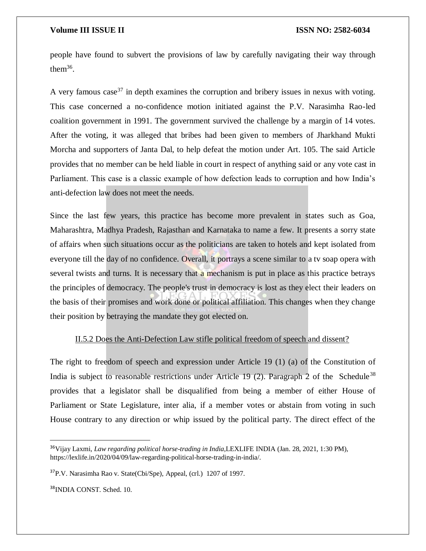people have found to subvert the provisions of law by carefully navigating their way through the $m^{36}$ .

A very famous case<sup>37</sup> in depth examines the corruption and bribery issues in nexus with voting. This case concerned a no-confidence motion initiated against the P.V. Narasimha Rao-led coalition government in 1991. The government survived the challenge by a margin of 14 votes. After the voting, it was alleged that bribes had been given to members of Jharkhand Mukti Morcha and supporters of Janta Dal, to help defeat the motion under Art. 105. The said Article provides that no member can be held liable in court in respect of anything said or any vote cast in Parliament. This case is a classic example of how defection leads to corruption and how India's anti-defection law does not meet the needs.

Since the last few years, this practice has become more prevalent in states such as Goa, Maharashtra, Madhya Pradesh, Rajasthan and Karnataka to name a few. It presents a sorry state of affairs when such situations occur as the politicians are taken to hotels and kept isolated from everyone till the day of no confidence. Overall, it portrays a scene similar to a tv soap opera with several twists and turns. It is necessary that a mechanism is put in place as this practice betrays the principles of democracy. The people's trust in democracy is lost as they elect their leaders on the basis of their promises and work done or political affiliation. This changes when they change their position by betraying the mandate they got elected on.

# II.5.2 Does the Anti-Defection Law stifle political freedom of speech and dissent?

The right to freedom of speech and expression under Article 19 (1) (a) of the Constitution of India is subject to reasonable restrictions under Article 19 (2). Paragraph 2 of the Schedule<sup>38</sup> provides that a legislator shall be disqualified from being a member of either House of Parliament or State Legislature, inter alia, if a member votes or abstain from voting in such House contrary to any direction or whip issued by the political party. The direct effect of the

<sup>38</sup>INDIA CONST. Sched. 10.

<sup>36</sup>Vijay Laxmi, *Law regarding political horse-trading in India,*LEXLIFE INDIA (Jan. 28, 2021, 1:30 PM), https://lexlife.in/2020/04/09/law-regarding-political-horse-trading-in-india/.

<sup>37</sup>P.V. Narasimha Rao v. State(Cbi/Spe), Appeal, (crl.) 1207 of 1997.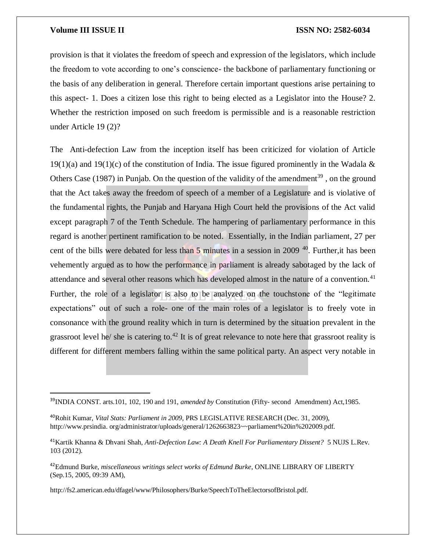$\overline{\phantom{a}}$ 

provision is that it violates the freedom of speech and expression of the legislators, which include the freedom to vote according to one's conscience- the backbone of parliamentary functioning or the basis of any deliberation in general. Therefore certain important questions arise pertaining to this aspect- 1. Does a citizen lose this right to being elected as a Legislator into the House? 2. Whether the restriction imposed on such freedom is permissible and is a reasonable restriction under Article 19 (2)?

The Anti-defection Law from the inception itself has been criticized for violation of Article  $19(1)(a)$  and  $19(1)(c)$  of the constitution of India. The issue figured prominently in the Wadala & Others Case (1987) in Punjab. On the question of the validity of the amendment<sup>39</sup>, on the ground that the Act takes away the freedom of speech of a member of a Legislature and is violative of the fundamental rights, the Punjab and Haryana High Court held the provisions of the Act valid except paragraph 7 of the Tenth Schedule. The hampering of parliamentary performance in this regard is another pertinent ramification to be noted. Essentially, in the Indian parliament, 27 per cent of the bills were debated for less than 5 minutes in a session in 2009<sup>40</sup>. Further, it has been vehemently argued as to how the performance in parliament is already sabotaged by the lack of attendance and several other reasons which has developed almost in the nature of a convention.<sup>41</sup> Further, the role of a legislator is also to be analyzed on the touchstone of the "legitimate expectations" out of such a role- one of the main roles of a legislator is to freely vote in consonance with the ground reality which in turn is determined by the situation prevalent in the grassroot level he/ she is catering to.<sup>42</sup> It is of great relevance to note here that grassroot reality is different for different members falling within the same political party. An aspect very notable in

http://fs2.american.edu/dfagel/www/Philosophers/Burke/SpeechToTheElectorsofBristol.pdf.

<sup>39</sup>INDIA CONST. arts.101, 102, 190 and 191, *amended by* Constitution (Fifty- second Amendment) Act,1985.

<sup>40</sup>Rohit Kumar, *Vital Stats: Parliament in 2009,* PRS LEGISLATIVE RESEARCH (Dec. 31, 2009), http://www.prsindia. org/administrator/uploads/general/1262663823~~parliament%20in%202009.pdf.

<sup>41</sup>Kartik Khanna & Dhvani Shah, *Anti-Defection Law: A Death Knell For Parliamentary Dissent?* 5 NUJS L.Rev. 103 (2012).

<sup>42</sup>Edmund Burke, *miscellaneous writings select works of Edmund Burke*, ONLINE LIBRARY OF LIBERTY (Sep.15, 2005, 09:39 AM),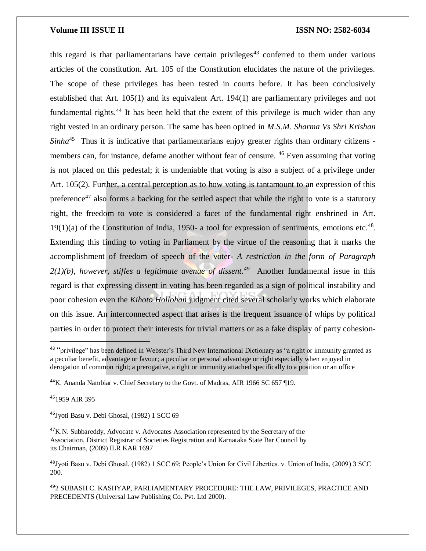this regard is that parliamentarians have certain privileges<sup>43</sup> conferred to them under various articles of the constitution. Art. 105 of the Constitution elucidates the nature of the privileges. The scope of these privileges has been tested in courts before. It has been conclusively established that Art. 105(1) and its equivalent Art. 194(1) are parliamentary privileges and not fundamental rights.<sup>44</sup> It has been held that the extent of this privilege is much wider than any right vested in an ordinary person. The same has been opined in *M.S.M. Sharma Vs Shri Krishan*  Sinha<sup>45</sup> Thus it is indicative that parliamentarians enjoy greater rights than ordinary citizens members can, for instance, defame another without fear of censure. <sup>46</sup> Even assuming that voting is not placed on this pedestal; it is undeniable that voting is also a subject of a privilege under Art. 105(2). Further, a central perception as to how voting is tantamount to an expression of this preference<sup>47</sup> also forms a backing for the settled aspect that while the right to vote is a statutory right, the freedom to vote is considered a facet of the fundamental right enshrined in Art.  $19(1)(a)$  of the Constitution of India, 1950- a tool for expression of sentiments, emotions etc.<sup>48</sup>. Extending this finding to voting in Parliament by the virtue of the reasoning that it marks the accomplishment of freedom of speech of the voter- *A restriction in the form of Paragraph*   $2(1)(b)$ , however, stifles a legitimate avenue of dissent.<sup>49</sup> Another fundamental issue in this regard is that expressing dissent in voting has been regarded as a sign of political instability and poor cohesion even the *Kihoto Hollohan* judgment cited several scholarly works which elaborate on this issue. An interconnected aspect that arises is the frequent issuance of whips by political parties in order to protect their interests for trivial matters or as a fake display of party cohesion-

<sup>45</sup>1959 AIR 395

 $\overline{a}$ 

<sup>46</sup>Jyoti Basu v. Debi Ghosal, (1982) 1 SCC 69

<sup>&</sup>lt;sup>43</sup> "privilege" has been defined in Webster's Third New International Dictionary as "a right or immunity granted as a peculiar benefit, advantage or favour; a peculiar or personal advantage or right especially when enjoyed in derogation of common right; a prerogative, a right or immunity attached specifically to a position or an office

<sup>44</sup>K. Ananda Nambiar v. Chief Secretary to the Govt. of Madras, AIR 1966 SC 657 ¶19.

<sup>&</sup>lt;sup>47</sup>K.N. Subbareddy, Advocate v. Advocates Association represented by the Secretary of the Association, District Registrar of Societies Registration and Karnataka State Bar Council by its Chairman, (2009) ILR KAR 1697

<sup>48</sup>Jyoti Basu v. Debi Ghosal, (1982) 1 SCC 69; People's Union for Civil Liberties. v. Union of India, (2009) 3 SCC 200.

<sup>49</sup>2 SUBASH C. KASHYAP, PARLIAMENTARY PROCEDURE: THE LAW, PRIVILEGES, PRACTICE AND PRECEDENTS (Universal Law Publishing Co. Pvt. Ltd 2000).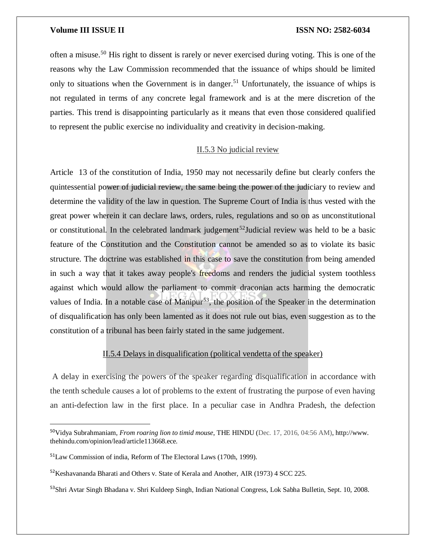often a misuse.<sup>50</sup> His right to dissent is rarely or never exercised during voting. This is one of the reasons why the Law Commission recommended that the issuance of whips should be limited only to situations when the Government is in danger.<sup>51</sup> Unfortunately, the issuance of whips is not regulated in terms of any concrete legal framework and is at the mere discretion of the parties. This trend is disappointing particularly as it means that even those considered qualified to represent the public exercise no individuality and creativity in decision-making.

# II.5.3 No judicial review

Article 13 of the constitution of India, 1950 may not necessarily define but clearly confers the quintessential power of judicial review, the same being the power of the judiciary to review and determine the validity of the law in question. The Supreme Court of India is thus vested with the great power wherein it can declare laws, orders, rules, regulations and so on as unconstitutional or constitutional. In the celebrated landmark judgement<sup>52</sup>Judicial review was held to be a basic feature of the Constitution and the Constitution cannot be amended so as to violate its basic structure. The doctrine was established in this case to save the constitution from being amended in such a way that it takes away people's freedoms and renders the judicial system toothless against which would allow the parliament to commit draconian acts harming the democratic values of India. In a notable case of Manipur<sup>53</sup>, the position of the Speaker in the determination of disqualification has only been lamented as it does not rule out bias, even suggestion as to the constitution of a tribunal has been fairly stated in the same judgement.

# II.5.4 Delays in disqualification (political vendetta of the speaker)

A delay in exercising the powers of the speaker regarding disqualification in accordance with the tenth schedule causes a lot of problems to the extent of frustrating the purpose of even having an anti-defection law in the first place. In a peculiar case in Andhra Pradesh, the defection

<sup>50</sup>Vidya Subrahmaniam, *From roaring lion to timid mouse*, THE HINDU (Dec. 17, 2016, 04:56 AM), http://www. thehindu.com/opinion/lead/article113668.ece.

<sup>51</sup>Law Commission of india, Reform of The Electoral Laws (170th, 1999).

<sup>52</sup>Keshavananda Bharati and Others v. State of Kerala and Another, AIR (1973) 4 SCC 225.

<sup>&</sup>lt;sup>53</sup>Shri Avtar Singh Bhadana v. Shri Kuldeep Singh, Indian National Congress, Lok Sabha Bulletin, Sept. 10, 2008.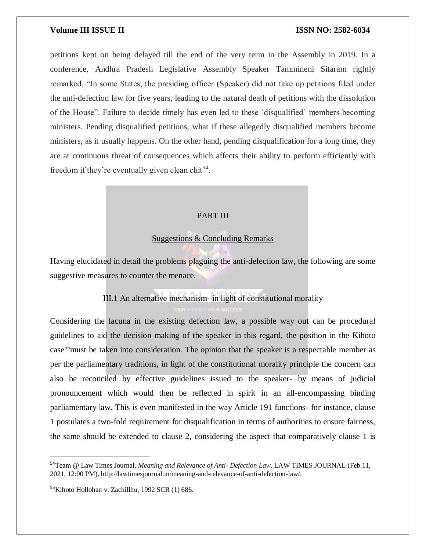petitions kept on being delayed till the end of the very term in the Assembly in 2019. In a conference, Andhra Pradesh Legislative Assembly Speaker Tammineni Sitaram rightly remarked, "In some States, the presiding officer (Speaker) did not take up petitions filed under the anti-defection law for five years, leading to the natural death of petitions with the dissolution of the House". Failure to decide timely has even led to these 'disqualified' members becoming ministers. Pending disqualified petitions, what if these allegedly disqualified members become ministers, as it usually happens. On the other hand, pending disqualification for a long time, they are at continuous threat of consequences which affects their ability to perform efficiently with freedom if they're eventually given clean chit $^{54}$ .

# PART III

# Suggestions & Concluding Remarks

Having elucidated in detail the problems plaguing the anti-defection law, the following are some suggestive measures to counter the menace.

# III.1 An alternative mechanism- in light of constitutional morality

Considering the lacuna in the existing defection law, a possible way out can be procedural guidelines to aid the decision making of the speaker in this regard, the position in the Kihoto case<sup>55</sup>must be taken into consideration. The opinion that the speaker is a respectable member as per the parliamentary traditions, in light of the constitutional morality principle the concern can also be reconciled by effective guidelines issued to the speaker- by means of judicial pronouncement which would then be reflected in spirit in an all-encompassing binding parliamentary law. This is even manifested in the way Article 191 functions- for instance, clause 1 postulates a two-fold requirement for disqualification in terms of authorities to ensure fairness, the same should be extended to clause 2, considering the aspect that comparatively clause 1 is

<sup>54</sup>Team @ Law Times Journal, *Meaning and Relevance of Anti- Defection Law,* LAW TIMES JOURNAL (Feb.11, 2021, 12:00 PM), http://lawtimesjournal.in/meaning-and-relevance-of-anti-defection-law/.

<sup>55</sup>Kihoto Hollohan v. Zachillhu, 1992 SCR (1) 686.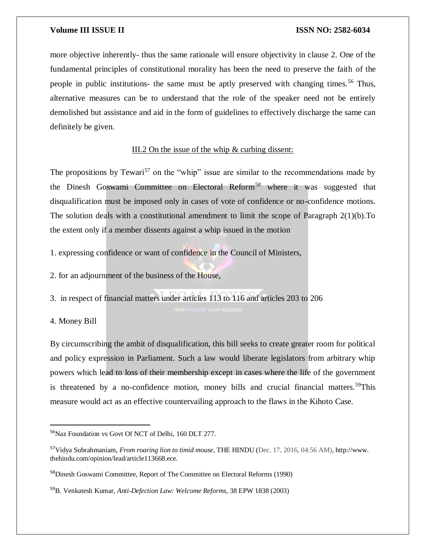more objective inherently- thus the same rationale will ensure objectivity in clause 2. One of the fundamental principles of constitutional morality has been the need to preserve the faith of the people in public institutions- the same must be aptly preserved with changing times.<sup>56</sup> Thus, alternative measures can be to understand that the role of the speaker need not be entirely demolished but assistance and aid in the form of guidelines to effectively discharge the same can definitely be given.

# III.2 On the issue of the whip & curbing dissent:

The propositions by Tewari<sup>57</sup> on the "whip" issue are similar to the recommendations made by the Dinesh Goswami Committee on Electoral Reform<sup>58</sup> where it was suggested that disqualification must be imposed only in cases of vote of confidence or no-confidence motions. The solution deals with a constitutional amendment to limit the scope of Paragraph 2(1)(b).To the extent only if a member dissents against a whip issued in the motion

1. expressing confidence or want of confidence in the Council of Ministers,

2. for an adjournment of the business of the House,

3. in respect of financial matters under articles 113 to 116 and articles 203 to 206

4. Money Bill

 $\overline{a}$ 

By circumscribing the ambit of disqualification, this bill seeks to create greater room for political and policy expression in Parliament. Such a law would liberate legislators from arbitrary whip powers which lead to loss of their membership except in cases where the life of the government is threatened by a no-confidence motion, money bills and crucial financial matters.<sup>59</sup>This measure would act as an effective countervailing approach to the flaws in the Kihoto Case.

<sup>&</sup>lt;sup>56</sup>Naz Foundation vs Govt Of NCT of Delhi, 160 DLT 277.

<sup>57</sup>Vidya Subrahmaniam, *From roaring lion to timid mouse*, THE HINDU (Dec. 17, 2016, 04:56 AM), http://www. thehindu.com/opinion/lead/article113668.ece.

<sup>58</sup>Dinesh Goswami Committee, Report of The Committee on Electoral Reforms (1990)

<sup>59</sup>B. Venkatesh Kumar, *Anti-Defection Law: Welcome Reforms*, 38 EPW 1838 (2003)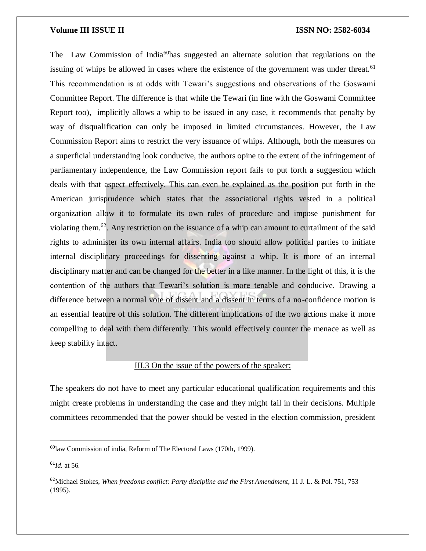The Law Commission of India<sup>60</sup>has suggested an alternate solution that regulations on the issuing of whips be allowed in cases where the existence of the government was under threat.<sup>61</sup> This recommendation is at odds with Tewari's suggestions and observations of the Goswami Committee Report. The difference is that while the Tewari (in line with the Goswami Committee Report too), implicitly allows a whip to be issued in any case, it recommends that penalty by way of disqualification can only be imposed in limited circumstances. However, the Law Commission Report aims to restrict the very issuance of whips. Although, both the measures on a superficial understanding look conducive, the authors opine to the extent of the infringement of parliamentary independence, the Law Commission report fails to put forth a suggestion which deals with that aspect effectively. This can even be explained as the position put forth in the American jurisprudence which states that the associational rights vested in a political organization allow it to formulate its own rules of procedure and impose punishment for violating them.<sup>62</sup>. Any restriction on the issuance of a whip can amount to curtailment of the said rights to administer its own internal affairs. India too should allow political parties to initiate internal disciplinary proceedings for dissenting against a whip. It is more of an internal disciplinary matter and can be changed for the better in a like manner. In the light of this, it is the contention of the authors that Tewari's solution is more tenable and conducive. Drawing a difference between a normal vote of dissent and a dissent in terms of a no-confidence motion is an essential feature of this solution. The different implications of the two actions make it more compelling to deal with them differently. This would effectively counter the menace as well as keep stability intact.

# III.3 On the issue of the powers of the speaker:

The speakers do not have to meet any particular educational qualification requirements and this might create problems in understanding the case and they might fail in their decisions. Multiple committees recommended that the power should be vested in the election commission, president

 $^{61}$ *Id.* at 56.

<sup>60</sup>law Commission of india, Reform of The Electoral Laws (170th, 1999).

<sup>62</sup>Michael Stokes, *When freedoms conflict: Party discipline and the First Amendment*, 11 J. L. & Pol. 751, 753 (1995).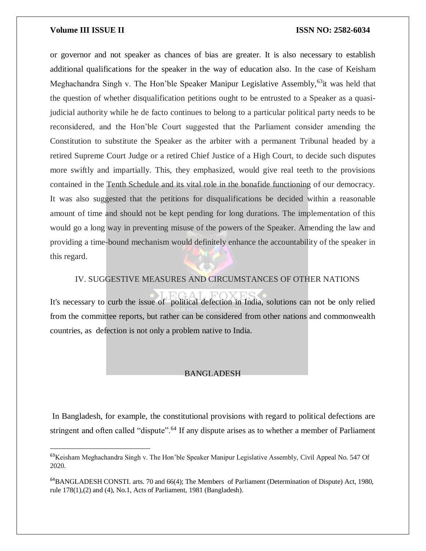$\overline{\phantom{a}}$ 

or governor and not speaker as chances of bias are greater. It is also necessary to establish additional qualifications for the speaker in the way of education also. In the case of Keisham Meghachandra Singh v. The Hon'ble Speaker Manipur Legislative Assembly,  $63$ it was held that the question of whether disqualification petitions ought to be entrusted to a Speaker as a quasijudicial authority while he de facto continues to belong to a particular political party needs to be reconsidered, and the Hon'ble Court suggested that the Parliament consider amending the Constitution to substitute the Speaker as the arbiter with a permanent Tribunal headed by a retired Supreme Court Judge or a retired Chief Justice of a High Court, to decide such disputes more swiftly and impartially. This, they emphasized, would give real teeth to the provisions contained in the Tenth Schedule and its vital role in the bonafide functioning of our democracy. It was also suggested that the petitions for disqualifications be decided within a reasonable amount of time and should not be kept pending for long durations. The implementation of this would go a long way in preventing misuse of the powers of the Speaker. Amending the law and providing a time-bound mechanism would definitely enhance the accountability of the speaker in this regard.

# IV. SUGGESTIVE MEASURES AND CIRCUMSTANCES OF OTHER NATIONS

It's necessary to curb the issue of political defection in India, solutions can not be only relied from the committee reports, but rather can be considered from other nations and commonwealth countries, as defection is not only a problem native to India.

### BANGLADESH

In Bangladesh, for example, the constitutional provisions with regard to political defections are stringent and often called "dispute".<sup>64</sup> If any dispute arises as to whether a member of Parliament

<sup>&</sup>lt;sup>63</sup>Keisham Meghachandra Singh v. The Hon'ble Speaker Manipur Legislative Assembly, Civil Appeal No. 547 Of 2020.

<sup>&</sup>lt;sup>64</sup>BANGLADESH CONSTI. arts. 70 and 66(4); The Members of Parliament (Determination of Dispute) Act, 1980, rule 178(1),(2) and (4), No.1, Acts of Parliament, 1981 (Bangladesh).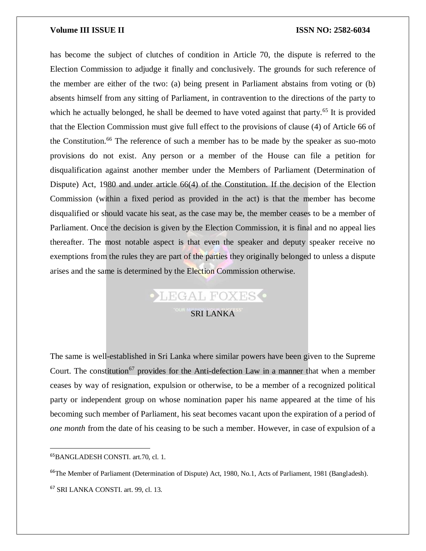has become the subject of clutches of condition in Article 70, the dispute is referred to the Election Commission to adjudge it finally and conclusively. The grounds for such reference of the member are either of the two: (a) being present in Parliament abstains from voting or (b) absents himself from any sitting of Parliament, in contravention to the directions of the party to which he actually belonged, he shall be deemed to have voted against that party.<sup>65</sup> It is provided that the Election Commission must give full effect to the provisions of clause (4) of Article 66 of the Constitution.<sup>66</sup> The reference of such a member has to be made by the speaker as suo-moto provisions do not exist. Any person or a member of the House can file a petition for disqualification against another member under the Members of Parliament (Determination of Dispute) Act, 1980 and under article 66(4) of the Constitution. If the decision of the Election Commission (within a fixed period as provided in the act) is that the member has become disqualified or should vacate his seat, as the case may be, the member ceases to be a member of Parliament. Once the decision is given by the Election Commission, it is final and no appeal lies thereafter. The most notable aspect is that even the speaker and deputy speaker receive no exemptions from the rules they are part of the parties they originally belonged to unless a dispute arises and the same is determined by the Election Commission otherwise.

# **•LEGAL FOXES**

# SRI LANKA

The same is well-established in Sri Lanka where similar powers have been given to the Supreme Court. The constitution<sup>67</sup> provides for the Anti-defection Law in a manner that when a member ceases by way of resignation, expulsion or otherwise, to be a member of a recognized political party or independent group on whose nomination paper his name appeared at the time of his becoming such member of Parliament, his seat becomes vacant upon the expiration of a period of *one month* from the date of his ceasing to be such a member. However, in case of expulsion of a

<sup>65</sup>BANGLADESH CONSTI. art.70, cl. 1.

<sup>&</sup>lt;sup>66</sup>The Member of Parliament (Determination of Dispute) Act, 1980, No.1, Acts of Parliament, 1981 (Bangladesh).

<sup>67</sup> SRI LANKA CONSTI. art. 99, cl. 13.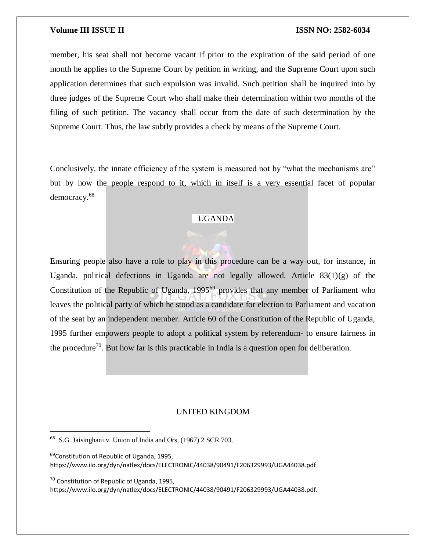member, his seat shall not become vacant if prior to the expiration of the said period of one month he applies to the Supreme Court by petition in writing, and the Supreme Court upon such application determines that such expulsion was invalid. Such petition shall be inquired into by three judges of the Supreme Court who shall make their determination within two months of the filing of such petition. The vacancy shall occur from the date of such determination by the Supreme Court. Thus, the law subtly provides a check by means of the Supreme Court.

Conclusively, the innate efficiency of the system is measured not by "what the mechanisms are" but by how the people respond to it, which in itself is a very essential facet of popular democracy.<sup>68</sup>

# UGANDA

Ensuring people also have a role to play in this procedure can be a way out, for instance, in Uganda, political defections in Uganda are not legally allowed. Article  $83(1)(g)$  of the Constitution of the Republic of Uganda, 1995<sup>69</sup> provides that any member of Parliament who leaves the political party of which he stood as a candidate for election to Parliament and vacation of the seat by an independent member. Article 60 of the Constitution of the Republic of Uganda, 1995 further empowers people to adopt a political system by referendum- to ensure fairness in the procedure<sup>70</sup>. But how far is this practicable in India is a question open for deliberation.

# UNITED KINGDOM

 $\overline{a}$ 

 $70$  Constitution of Republic of Uganda, 1995, https://www.ilo.org/dyn/natlex/docs/ELECTRONIC/44038/90491/F206329993/UGA44038.pdf.

<sup>68</sup> S.G. Jaisinghani v. Union of India and Ors, (1967) 2 SCR 703.

<sup>&</sup>lt;sup>69</sup>Constitution of Republic of Uganda, 1995, https://www.ilo.org/dyn/natlex/docs/ELECTRONIC/44038/90491/F206329993/UGA44038.pdf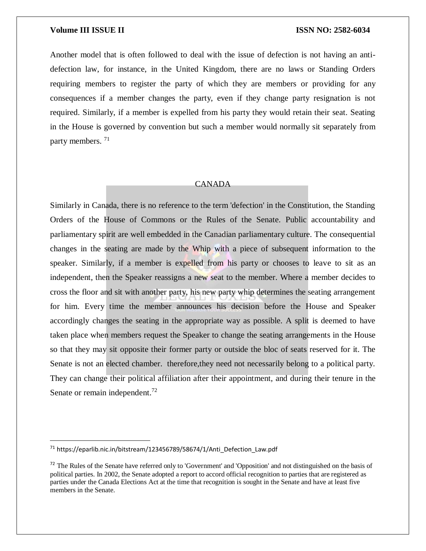Another model that is often followed to deal with the issue of defection is not having an antidefection law, for instance, in the United Kingdom, there are no laws or Standing Orders requiring members to register the party of which they are members or providing for any consequences if a member changes the party, even if they change party resignation is not required. Similarly, if a member is expelled from his party they would retain their seat. Seating in the House is governed by convention but such a member would normally sit separately from party members.<sup>71</sup>

### CANADA

Similarly in Canada, there is no reference to the term 'defection' in the Constitution, the Standing Orders of the House of Commons or the Rules of the Senate. Public accountability and parliamentary spirit are well embedded in the Canadian parliamentary culture. The consequential changes in the seating are made by the Whip with a piece of subsequent information to the speaker. Similarly, if a member is expelled from his party or chooses to leave to sit as an independent, then the Speaker reassigns a new seat to the member. Where a member decides to cross the floor and sit with another party, his new party whip determines the seating arrangement for him. Every time the member announces his decision before the House and Speaker accordingly changes the seating in the appropriate way as possible. A split is deemed to have taken place when members request the Speaker to change the seating arrangements in the House so that they may sit opposite their former party or outside the bloc of seats reserved for it. The Senate is not an elected chamber. therefore,they need not necessarily belong to a political party. They can change their political affiliation after their appointment, and during their tenure in the Senate or remain independent.<sup>72</sup>

 $\overline{a}$ 

 $71$  https://eparlib.nic.in/bitstream/123456789/58674/1/Anti\_Defection\_Law.pdf

<sup>&</sup>lt;sup>72</sup> The Rules of the Senate have referred only to 'Government' and 'Opposition' and not distinguished on the basis of political parties. In 2002, the Senate adopted a report to accord official recognition to parties that are registered as parties under the Canada Elections Act at the time that recognition is sought in the Senate and have at least five members in the Senate.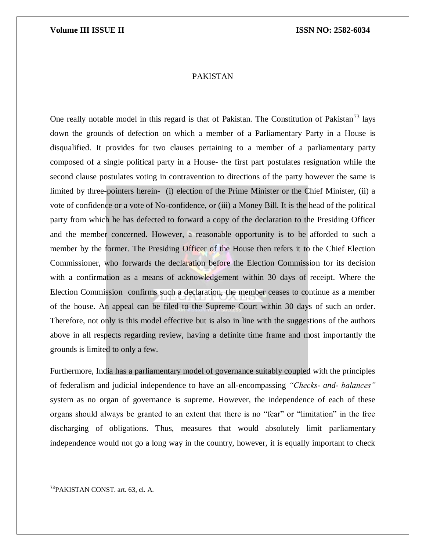# PAKISTAN

One really notable model in this regard is that of Pakistan. The Constitution of Pakistan<sup>73</sup> lays down the grounds of defection on which a member of a Parliamentary Party in a House is disqualified. It provides for two clauses pertaining to a member of a parliamentary party composed of a single political party in a House- the first part postulates resignation while the second clause postulates voting in contravention to directions of the party however the same is limited by three-pointers herein- (i) election of the Prime Minister or the Chief Minister, (ii) a vote of confidence or a vote of No-confidence, or (iii) a Money Bill. It is the head of the political party from which he has defected to forward a copy of the declaration to the Presiding Officer and the member concerned. However, a reasonable opportunity is to be afforded to such a member by the former. The Presiding Officer of the House then refers it to the Chief Election Commissioner, who forwards the declaration before the Election Commission for its decision with a confirmation as a means of acknowledgement within 30 days of receipt. Where the Election Commission confirms such a declaration, the member ceases to continue as a member of the house. An appeal can be filed to the Supreme Court within 30 days of such an order. Therefore, not only is this model effective but is also in line with the suggestions of the authors above in all respects regarding review, having a definite time frame and most importantly the grounds is limited to only a few.

Furthermore, India has a parliamentary model of governance suitably coupled with the principles of federalism and judicial independence to have an all-encompassing *"Checks- and- balances"* system as no organ of governance is supreme. However, the independence of each of these organs should always be granted to an extent that there is no "fear" or "limitation" in the free discharging of obligations. Thus, measures that would absolutely limit parliamentary independence would not go a long way in the country, however, it is equally important to check

<sup>73</sup>PAKISTAN CONST. art. 63, cl. A.

 $\overline{a}$